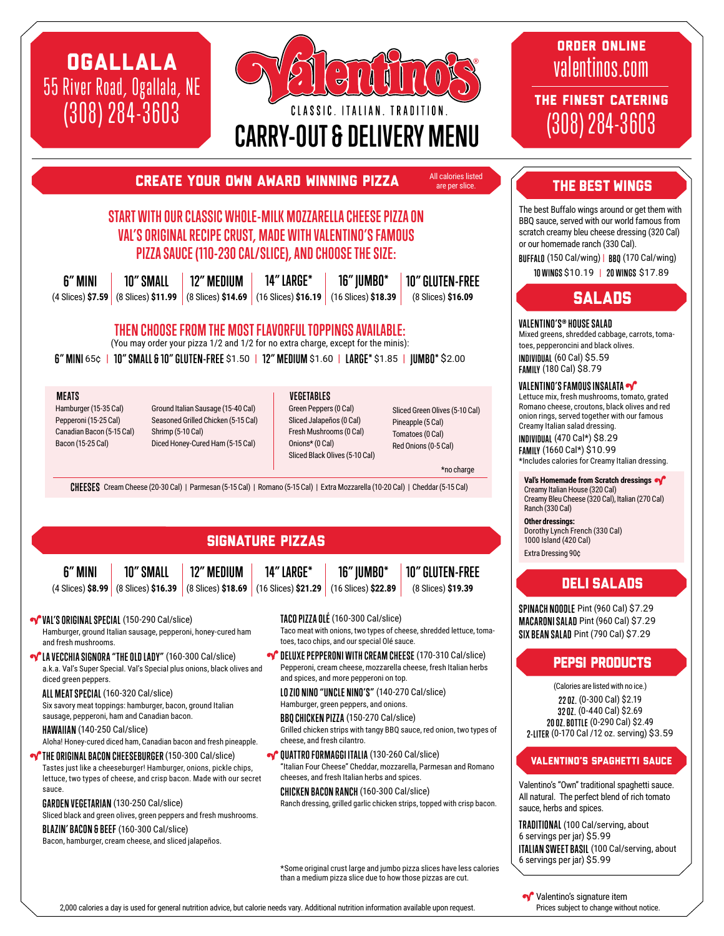# OGALLALA 55 River Road, Ogallala, NE (308) 284-3603



ORDER ONLINE valentinos.com

THE FINEST CATERING (308) 284-3603

### Create your own award winning pizza

# **START WITH OUR CLASSIC WHOLE-MILK MOZZARELLA CHEESE PIZZA ON VAL'S ORIGINAL RECIPE CRUST, MADE WITH VALENTINO'S FAMOUS PIZZA SAUCE (110-230 CAL/SLICE), AND CHOOSE THE SIZE:**

| 6" MINI | 10" SMALL | $\mid$ 12" medium | 14" LARGE* | <b>16" IUMB0*</b>                                                                                                                                                       | <b>10" GLUTEN-FREE</b> |
|---------|-----------|-------------------|------------|-------------------------------------------------------------------------------------------------------------------------------------------------------------------------|------------------------|
|         |           |                   |            | $(4 \text{ Slices})$ \$7.59 $(8 \text{ Slices})$ \$11.99 $(8 \text{ Slices})$ \$14.69 $(16 \text{ Slices})$ \$16.19 $(16 \text{ Slices})$ \$18.39 $(16 \text{ Slices})$ | (8 Slices) \$16.09     |

### **THEN CHOOSE FROM THE MOST FLAVORFUL TOPPINGS AVAILABLE:**

(You may order your pizza 1/2 and 1/2 for no extra charge, except for the minis):

**6" MINI** 65¢ | **10" SMALL & 10" GLUTEN-FREE** \$1.50 | **12" MEDIUM** \$1.60 | **LARGE\*** \$1.85 | **JUMBO\*** \$2.00

**MEATS VEGETABLES**

Hamburger (15-35 Cal) Pepperoni (15-25 Cal) Canadian Bacon (5-15 Cal) Bacon (15-25 Cal)

Ground Italian Sausage (15-40 Cal) Seasoned Grilled Chicken (5-15 Cal) Shrimp (5-10 Cal) Diced Honey-Cured Ham (5-15 Cal)

Green Peppers (0 Cal) Sliced Jalapeños (0 Cal) Fresh Mushrooms (0 Cal) Onions\* (0 Cal) Sliced Black Olives (5-10 Cal)

Sliced Green Olives (5-10 Cal) Pineapple (5 Cal) Tomatoes (0 Cal) Red Onions (0-5 Cal)

> **10" GLUTEN-FREE** (8 Slices) **\$19.39**

\*no charge

All calories listed are per slice.

**CHEESES** Cream Cheese (20-30 Cal) | Parmesan (5-15 Cal) | Romano (5-15 Cal) | Extra Mozzarella (10-20 Cal) | Cheddar (5-15 Cal)

# SIGNATURE PIZZAS

**6" MINI**

#### **12" MEDIUM 14" LARGE\***

(4 Slices) **\$8.99** (8 Slices) **\$16.39** (8 Slices) **\$18.69** (16 Slices) **\$21.29** (16 Slices) **\$22.89 10" SMALL**

**VAL'S ORIGINAL SPECIAL** (150-290 Cal/slice) Hamburger, ground Italian sausage, pepperoni, honey-cured ham and fresh mushrooms.

**V** LA VECCHIA SIGNORA "THE OLD LADY" (160-300 Cal/slice) a.k.a. Val's Super Special. Val's Special plus onions, black olives and diced green peppers.

**ALL MEAT SPECIAL** (160-320 Cal/slice)

Six savory meat toppings: hamburger, bacon, ground Italian sausage, pepperoni, ham and Canadian bacon.

**HAWAIIAN** (140-250 Cal/slice)

Aloha! Honey-cured diced ham, Canadian bacon and fresh pineapple.

**THE ORIGINAL BACON CHEESEBURGER (150-300 Cal/slice)** Tastes just like a cheeseburger! Hamburger, onions, pickle chips, lettuce, two types of cheese, and crisp bacon. Made with our secret sauce.

**GARDEN VEGETARIAN** (130-250 Cal/slice) Sliced black and green olives, green peppers and fresh mushrooms.

#### **BLAZIN' BACON & BEEF** (160-300 Cal/slice)

Bacon, hamburger, cream cheese, and sliced jalapeños.

**TACO PIZZA OLÉ** (160-300 Cal/slice)

**16" JUMBO\***

Taco meat with onions, two types of cheese, shredded lettuce, tomatoes, taco chips, and our special Olé sauce.

**OF DELUXE PEPPERONI WITH CREAM CHEESE** (170-310 Cal/slice) Pepperoni, cream cheese, mozzarella cheese, fresh Italian herbs and spices, and more pepperoni on top.

**LO ZIO NINO "UNCLE NINO'S"** (140-270 Cal/slice)

Hamburger, green peppers, and onions.

**BBQ CHICKEN PIZZA** (150-270 Cal/slice) Grilled chicken strips with tangy BBQ sauce, red onion, two types of

cheese, and fresh cilantro.

**QUATTRO FORMAGGI ITALIA** (130-260 Cal/slice) "Italian Four Cheese" Cheddar, mozzarella, Parmesan and Romano cheeses, and fresh Italian herbs and spices.

**CHICKEN BACON RANCH**(160-300 Cal/slice) Ranch dressing, grilled garlic chicken strips, topped with crisp bacon.

\*Some original crust large and jumbo pizza slices have less calories than a medium pizza slice due to how those pizzas are cut.

THE BEST WINGS

The best Buffalo wings around or get them with BBQ sauce, served with our world famous from scratch creamy bleu cheese dressing (320 Cal) or our homemade ranch (330 Cal).

**BUFFALO** (150 Cal/wing) | **BBQ** (170 Cal/wing)

**10 WINGS** \$10.19 | **20 WINGS** \$17.89

# **SALADS**

#### **VALENTINO'S® HOUSE SALAD**

Mixed greens, shredded cabbage, carrots, tomatoes, pepperoncini and black olives. **INDIVIDUAL** (60 Cal) \$5.59 **FAMILY** (180 Cal) \$8.79

#### **VALENTINO'S FAMOUS INSALATA**

Lettuce mix, fresh mushrooms, tomato, grated Romano cheese, croutons, black olives and red onion rings, served together with our famous Creamy Italian salad dressing.

**INDIVIDUAL** (470 Cal\*) \$8.29 **FAMILY** (1660 Cal\*) \$10.99 \*Includes calories for Creamy Italian dressing.

**Val's Homemade from Scratch dressings** Creamy Italian House (320 Cal) Creamy Bleu Cheese (320 Cal), Italian (270 Cal) Ranch (330 Cal)

**Other dressings:**  Dorothy Lynch French (330 Cal) 1000 Island (420 Cal) Extra Dressing 90¢

# DELI SALADS

**SPINACH NOODLE** Pint (960 Cal) \$7.29 **MACARONI SALAD** Pint (960 Cal) \$7.29 **SIX BEAN SALAD** Pint (790 Cal) \$7.29

# Pepsi Products

(Calories are listed with no ice.) **22 OZ.** (0-300 Cal) \$2.19 **32 OZ.** (0-440 Cal) \$2.69 **20 OZ. BOTTLE** (0-290 Cal) \$2.49 **2-LITER** (0-170 Cal /12 oz. serving) \$3.59

#### Valentino's Spaghetti Sauce

Valentino's "Own" traditional spaghetti sauce. All natural. The perfect blend of rich tomato sauce, herbs and spices.

**TRADITIONAL** (100 Cal/serving, about 6 servings per jar) \$5.99 **ITALIAN SWEET BASIL** (100 Cal/serving, about 6 servings per jar) \$5.99

2,000 calories a day is used for general nutrition advice, but calorie needs vary. Additional nutrition information available upon request.

Valentino's signature item Prices subject to change without notice.